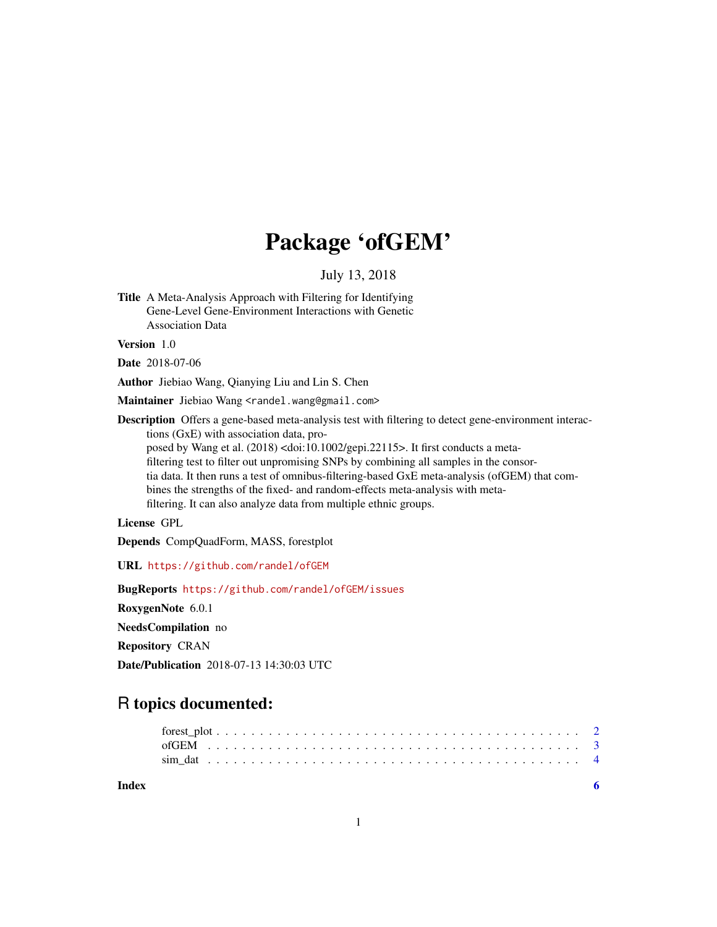## Package 'ofGEM'

July 13, 2018

Title A Meta-Analysis Approach with Filtering for Identifying Gene-Level Gene-Environment Interactions with Genetic Association Data

Version 1.0

Date 2018-07-06

Author Jiebiao Wang, Qianying Liu and Lin S. Chen

Maintainer Jiebiao Wang <randel.wang@gmail.com>

Description Offers a gene-based meta-analysis test with filtering to detect gene-environment interactions (GxE) with association data, proposed by Wang et al. (2018) <doi:10.1002/gepi.22115>. It first conducts a metafiltering test to filter out unpromising SNPs by combining all samples in the consortia data. It then runs a test of omnibus-filtering-based GxE meta-analysis (ofGEM) that combines the strengths of the fixed- and random-effects meta-analysis with metafiltering. It can also analyze data from multiple ethnic groups.

License GPL

Depends CompQuadForm, MASS, forestplot

URL <https://github.com/randel/ofGEM>

BugReports <https://github.com/randel/ofGEM/issues>

RoxygenNote 6.0.1

NeedsCompilation no

Repository CRAN

Date/Publication 2018-07-13 14:30:03 UTC

## R topics documented:

| Index |  |  |  |  |  |  |  |  |  |  |  |  |  |  |  |  |  |  |  |  |  |
|-------|--|--|--|--|--|--|--|--|--|--|--|--|--|--|--|--|--|--|--|--|--|
|       |  |  |  |  |  |  |  |  |  |  |  |  |  |  |  |  |  |  |  |  |  |
|       |  |  |  |  |  |  |  |  |  |  |  |  |  |  |  |  |  |  |  |  |  |
|       |  |  |  |  |  |  |  |  |  |  |  |  |  |  |  |  |  |  |  |  |  |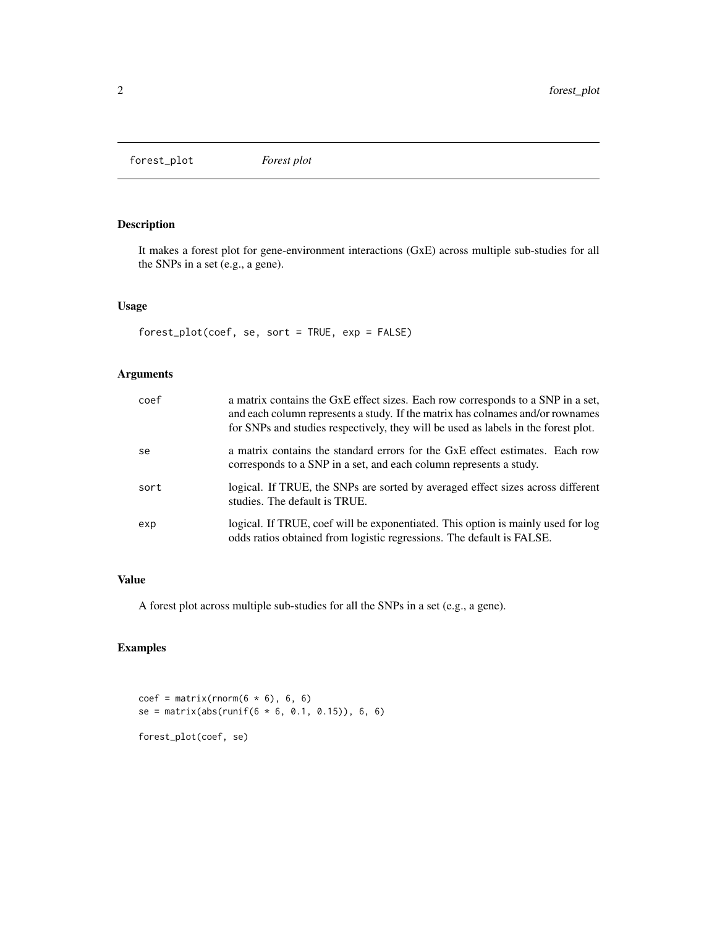<span id="page-1-0"></span>forest\_plot *Forest plot*

#### Description

It makes a forest plot for gene-environment interactions (GxE) across multiple sub-studies for all the SNPs in a set (e.g., a gene).

#### Usage

forest\_plot(coef, se, sort = TRUE, exp = FALSE)

#### Arguments

| coef | a matrix contains the GxE effect sizes. Each row corresponds to a SNP in a set,<br>and each column represents a study. If the matrix has colnames and/or rownames<br>for SNPs and studies respectively, they will be used as labels in the forest plot. |
|------|---------------------------------------------------------------------------------------------------------------------------------------------------------------------------------------------------------------------------------------------------------|
| se   | a matrix contains the standard errors for the GxE effect estimates. Each row<br>corresponds to a SNP in a set, and each column represents a study.                                                                                                      |
| sort | logical. If TRUE, the SNPs are sorted by averaged effect sizes across different<br>studies. The default is TRUE.                                                                                                                                        |
| exp  | logical. If TRUE, coef will be exponentiated. This option is mainly used for log<br>odds ratios obtained from logistic regressions. The default is FALSE.                                                                                               |

#### Value

A forest plot across multiple sub-studies for all the SNPs in a set (e.g., a gene).

#### Examples

```
coef = matrix(rnorm(6 * 6), 6, 6)se = matrix(abs(runif(6 * 6, 0.1, 0.15)), 6, 6)forest_plot(coef, se)
```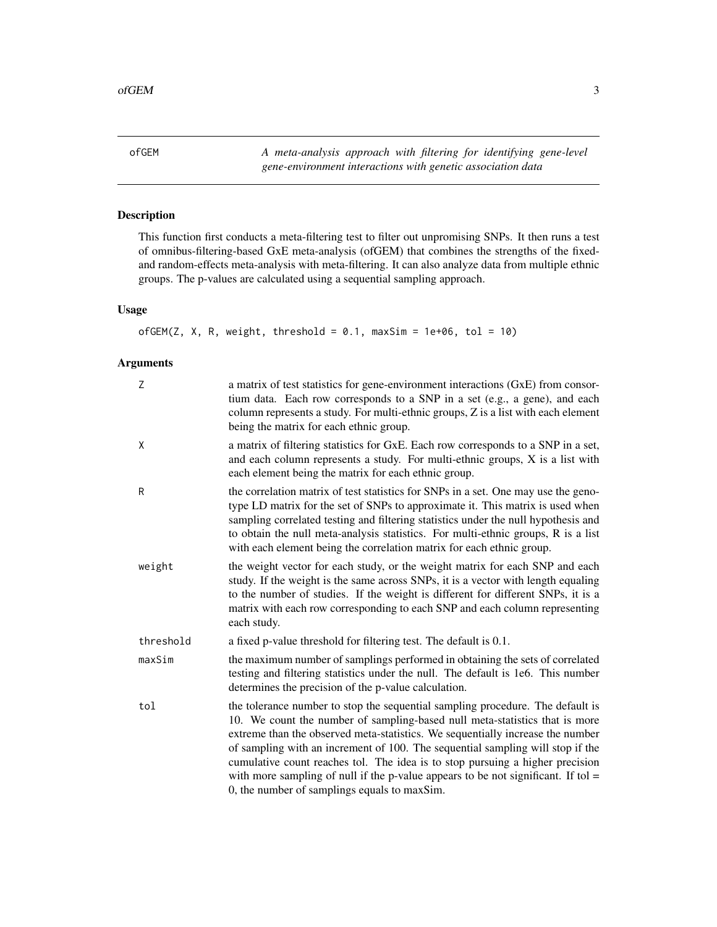<span id="page-2-0"></span>ofGEM *A meta-analysis approach with filtering for identifying gene-level gene-environment interactions with genetic association data*

### Description

This function first conducts a meta-filtering test to filter out unpromising SNPs. It then runs a test of omnibus-filtering-based GxE meta-analysis (ofGEM) that combines the strengths of the fixedand random-effects meta-analysis with meta-filtering. It can also analyze data from multiple ethnic groups. The p-values are calculated using a sequential sampling approach.

#### Usage

```
ofGEM(Z, X, R, weight, threshold = 0.1, maxSim = 1e+06, tol = 10)
```
#### Arguments

| Z         | a matrix of test statistics for gene-environment interactions (GxE) from consor-<br>tium data. Each row corresponds to a SNP in a set (e.g., a gene), and each<br>column represents a study. For multi-ethnic groups, Z is a list with each element<br>being the matrix for each ethnic group.                                                                                                                                                                                                                                                            |
|-----------|-----------------------------------------------------------------------------------------------------------------------------------------------------------------------------------------------------------------------------------------------------------------------------------------------------------------------------------------------------------------------------------------------------------------------------------------------------------------------------------------------------------------------------------------------------------|
| X         | a matrix of filtering statistics for GxE. Each row corresponds to a SNP in a set,<br>and each column represents a study. For multi-ethnic groups, X is a list with<br>each element being the matrix for each ethnic group.                                                                                                                                                                                                                                                                                                                                |
| R         | the correlation matrix of test statistics for SNPs in a set. One may use the geno-<br>type LD matrix for the set of SNPs to approximate it. This matrix is used when<br>sampling correlated testing and filtering statistics under the null hypothesis and<br>to obtain the null meta-analysis statistics. For multi-ethnic groups, R is a list<br>with each element being the correlation matrix for each ethnic group.                                                                                                                                  |
| weight    | the weight vector for each study, or the weight matrix for each SNP and each<br>study. If the weight is the same across SNPs, it is a vector with length equaling<br>to the number of studies. If the weight is different for different SNPs, it is a<br>matrix with each row corresponding to each SNP and each column representing<br>each study.                                                                                                                                                                                                       |
| threshold | a fixed p-value threshold for filtering test. The default is 0.1.                                                                                                                                                                                                                                                                                                                                                                                                                                                                                         |
| maxSim    | the maximum number of samplings performed in obtaining the sets of correlated<br>testing and filtering statistics under the null. The default is 1e6. This number<br>determines the precision of the p-value calculation.                                                                                                                                                                                                                                                                                                                                 |
| tol       | the tolerance number to stop the sequential sampling procedure. The default is<br>10. We count the number of sampling-based null meta-statistics that is more<br>extreme than the observed meta-statistics. We sequentially increase the number<br>of sampling with an increment of 100. The sequential sampling will stop if the<br>cumulative count reaches tol. The idea is to stop pursuing a higher precision<br>with more sampling of null if the p-value appears to be not significant. If tol $=$<br>0, the number of samplings equals to maxSim. |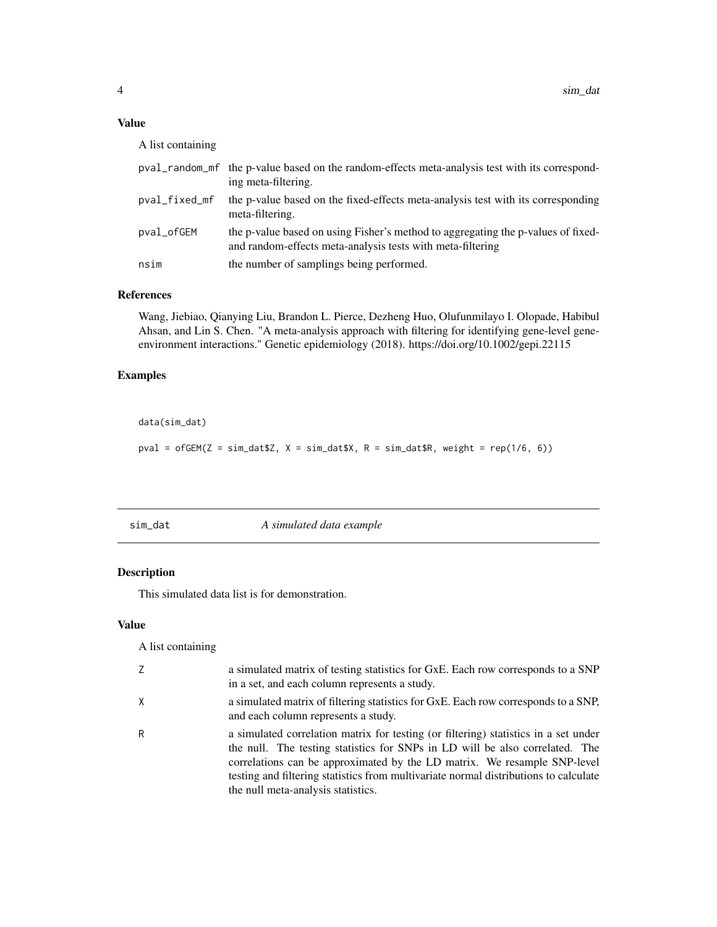#### Value

A list containing

|               | pval_random_mf the p-value based on the random-effects meta-analysis test with its correspond-<br>ing meta-filtering.                          |
|---------------|------------------------------------------------------------------------------------------------------------------------------------------------|
| pval_fixed_mf | the p-value based on the fixed-effects meta-analysis test with its corresponding<br>meta-filtering.                                            |
| pval_ofGEM    | the p-value based on using Fisher's method to aggregating the p-values of fixed-<br>and random-effects meta-analysis tests with meta-filtering |
| nsim          | the number of samplings being performed.                                                                                                       |

#### References

Wang, Jiebiao, Qianying Liu, Brandon L. Pierce, Dezheng Huo, Olufunmilayo I. Olopade, Habibul Ahsan, and Lin S. Chen. "A meta-analysis approach with filtering for identifying gene-level geneenvironment interactions." Genetic epidemiology (2018). https://doi.org/10.1002/gepi.22115

#### Examples

```
data(sim_dat)
```
pval = ofGEM(Z = sim\_dat\$Z,  $X = \text{sim\_data}$ \$X, R = sim\_dat\$R, weight = rep(1/6, 6))

sim\_dat *A simulated data example*

#### Description

This simulated data list is for demonstration.

#### Value

A list containing

| Z        | a simulated matrix of testing statistics for GxE. Each row corresponds to a SNP<br>in a set, and each column represents a study.                                                                                                                                                                                                                                              |
|----------|-------------------------------------------------------------------------------------------------------------------------------------------------------------------------------------------------------------------------------------------------------------------------------------------------------------------------------------------------------------------------------|
| $\times$ | a simulated matrix of filtering statistics for GxE. Each row corresponds to a SNP,<br>and each column represents a study.                                                                                                                                                                                                                                                     |
| R        | a simulated correlation matrix for testing (or filtering) statistics in a set under<br>the null. The testing statistics for SNPs in LD will be also correlated. The<br>correlations can be approximated by the LD matrix. We resample SNP-level<br>testing and filtering statistics from multivariate normal distributions to calculate<br>the null meta-analysis statistics. |

<span id="page-3-0"></span>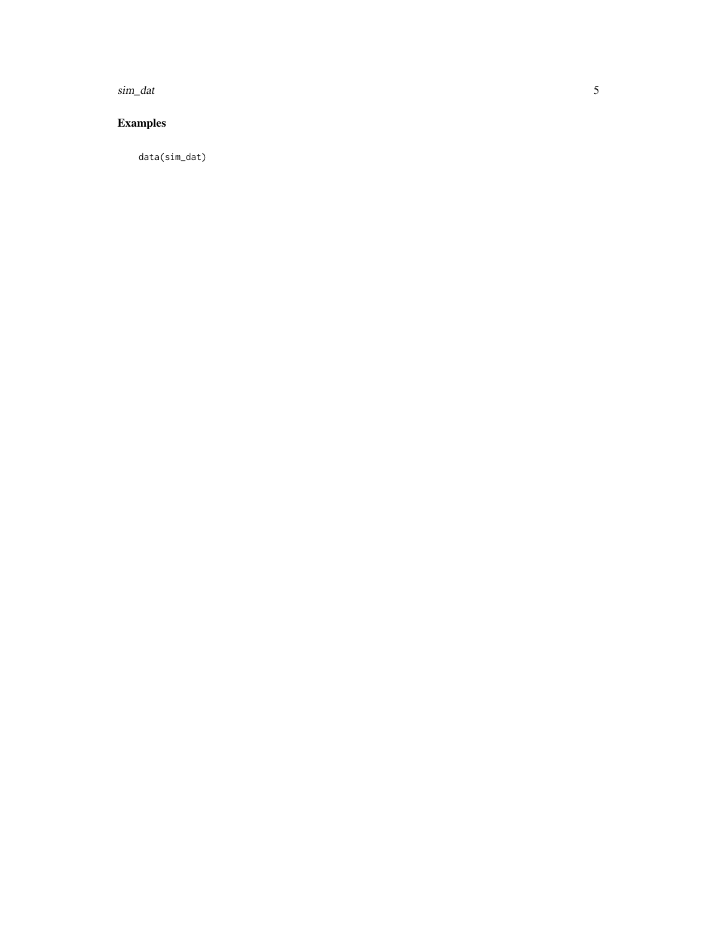sim\_dat

#### **Examples**

 $data(sim\_dat)$